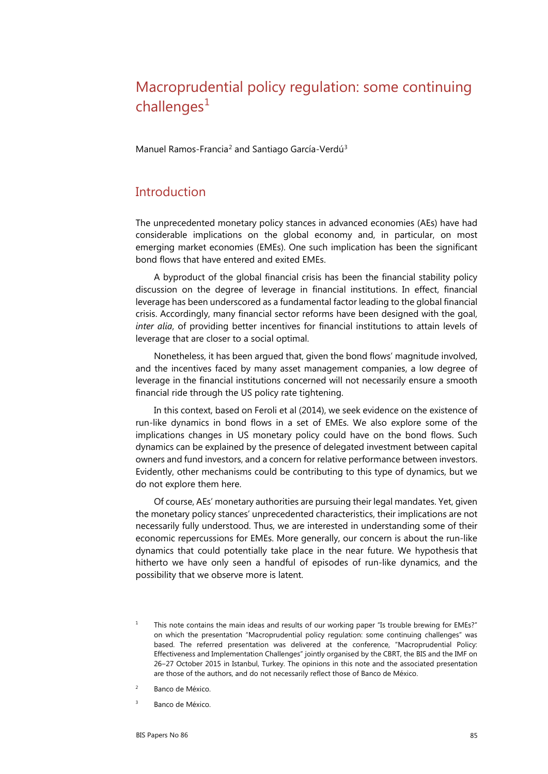# Macroprudential policy regulation: some continuing  $chall$ enges<sup>[1](#page-0-0)</sup>

Manuel Ramos-Francia<sup>[2](#page-0-1)</sup> and Santiago García-Verdú<sup>[3](#page-0-2)</sup>

# **Introduction**

The unprecedented monetary policy stances in advanced economies (AEs) have had considerable implications on the global economy and, in particular, on most emerging market economies (EMEs). One such implication has been the significant bond flows that have entered and exited EMEs.

A byproduct of the global financial crisis has been the financial stability policy discussion on the degree of leverage in financial institutions. In effect, financial leverage has been underscored as a fundamental factor leading to the global financial crisis. Accordingly, many financial sector reforms have been designed with the goal, *inter alia*, of providing better incentives for financial institutions to attain levels of leverage that are closer to a social optimal.

Nonetheless, it has been argued that, given the bond flows' magnitude involved, and the incentives faced by many asset management companies, a low degree of leverage in the financial institutions concerned will not necessarily ensure a smooth financial ride through the US policy rate tightening.

In this context, based on Feroli et al (2014), we seek evidence on the existence of run-like dynamics in bond flows in a set of EMEs. We also explore some of the implications changes in US monetary policy could have on the bond flows. Such dynamics can be explained by the presence of delegated investment between capital owners and fund investors, and a concern for relative performance between investors. Evidently, other mechanisms could be contributing to this type of dynamics, but we do not explore them here.

Of course, AEs' monetary authorities are pursuing their legal mandates. Yet, given the monetary policy stances' unprecedented characteristics, their implications are not necessarily fully understood. Thus, we are interested in understanding some of their economic repercussions for EMEs. More generally, our concern is about the run-like dynamics that could potentially take place in the near future. We hypothesis that hitherto we have only seen a handful of episodes of run-like dynamics, and the possibility that we observe more is latent.

- <span id="page-0-0"></span><sup>1</sup> This note contains the main ideas and results of our working paper "Is trouble brewing for EMEs?" on which the presentation "Macroprudential policy regulation: some continuing challenges" was based. The referred presentation was delivered at the conference, "Macroprudential Policy: Effectiveness and Implementation Challenges" jointly organised by the CBRT, the BIS and the IMF on 26‒27 October 2015 in Istanbul, Turkey. The opinions in this note and the associated presentation are those of the authors, and do not necessarily reflect those of Banco de México.
- <span id="page-0-1"></span><sup>2</sup> Banco de México.
- <span id="page-0-2"></span><sup>3</sup> Banco de México.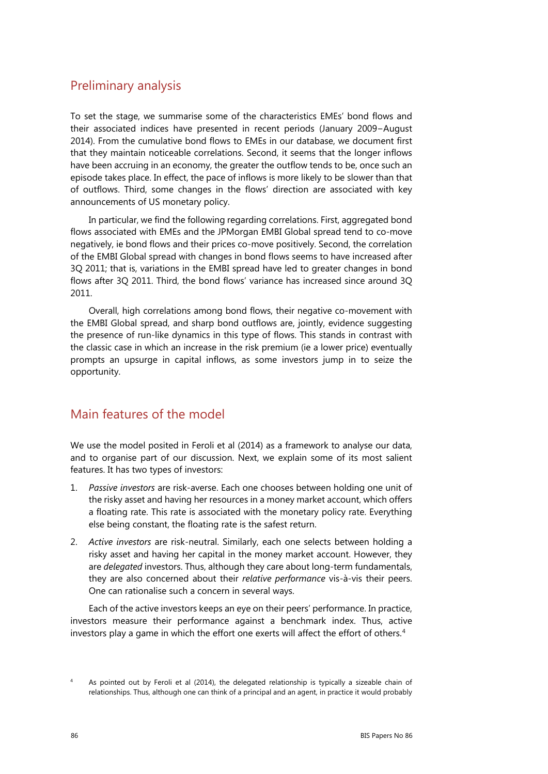# Preliminary analysis

To set the stage, we summarise some of the characteristics EMEs' bond flows and their associated indices have presented in recent periods (January 2009−August 2014). From the cumulative bond flows to EMEs in our database, we document first that they maintain noticeable correlations. Second, it seems that the longer inflows have been accruing in an economy, the greater the outflow tends to be, once such an episode takes place. In effect, the pace of inflows is more likely to be slower than that of outflows. Third, some changes in the flows' direction are associated with key announcements of US monetary policy.

In particular, we find the following regarding correlations. First, aggregated bond flows associated with EMEs and the JPMorgan EMBI Global spread tend to co-move negatively, ie bond flows and their prices co-move positively. Second, the correlation of the EMBI Global spread with changes in bond flows seems to have increased after 3Q 2011; that is, variations in the EMBI spread have led to greater changes in bond flows after 3Q 2011. Third, the bond flows' variance has increased since around 3Q 2011.

Overall, high correlations among bond flows, their negative co-movement with the EMBI Global spread, and sharp bond outflows are, jointly, evidence suggesting the presence of run-like dynamics in this type of flows. This stands in contrast with the classic case in which an increase in the risk premium (ie a lower price) eventually prompts an upsurge in capital inflows, as some investors jump in to seize the opportunity.

# Main features of the model

We use the model posited in Feroli et al (2014) as a framework to analyse our data, and to organise part of our discussion. Next, we explain some of its most salient features. It has two types of investors:

- 1. *Passive investors* are risk-averse. Each one chooses between holding one unit of the risky asset and having her resources in a money market account, which offers a floating rate. This rate is associated with the monetary policy rate. Everything else being constant, the floating rate is the safest return.
- 2. *Active investors* are risk-neutral. Similarly, each one selects between holding a risky asset and having her capital in the money market account. However, they are *delegated* investors. Thus, although they care about long-term fundamentals, they are also concerned about their *relative performance* vis-à-vis their peers. One can rationalise such a concern in several ways.

Each of the active investors keeps an eye on their peers' performance. In practice, investors measure their performance against a benchmark index. Thus, active investors play a game in which the effort one exerts will affect the effort of others.<sup>[4](#page-1-0)</sup>

<span id="page-1-0"></span><sup>&</sup>lt;sup>4</sup> As pointed out by Feroli et al (2014), the delegated relationship is typically a sizeable chain of relationships. Thus, although one can think of a principal and an agent, in practice it would probably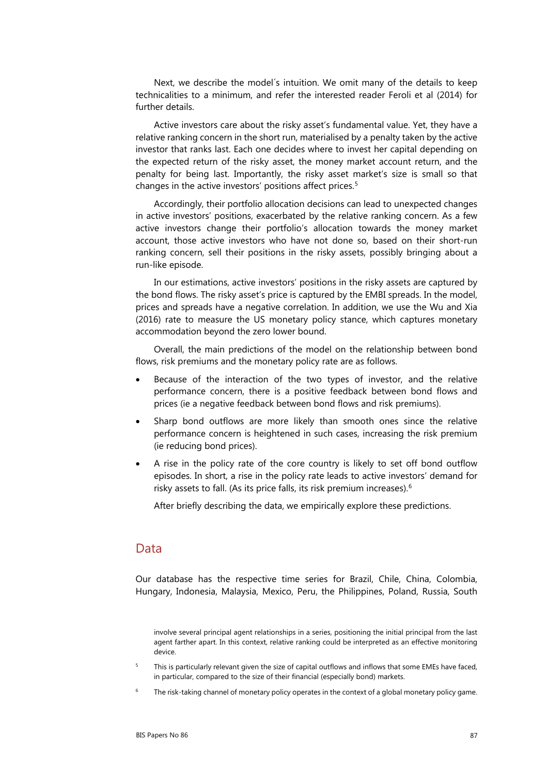Next, we describe the model´s intuition. We omit many of the details to keep technicalities to a minimum, and refer the interested reader Feroli et al (2014) for further details.

Active investors care about the risky asset's fundamental value. Yet, they have a relative ranking concern in the short run, materialised by a penalty taken by the active investor that ranks last. Each one decides where to invest her capital depending on the expected return of the risky asset, the money market account return, and the penalty for being last. Importantly, the risky asset market's size is small so that changes in the active investors' positions affect prices.<sup>[5](#page-2-0)</sup>

Accordingly, their portfolio allocation decisions can lead to unexpected changes in active investors' positions, exacerbated by the relative ranking concern. As a few active investors change their portfolio's allocation towards the money market account, those active investors who have not done so, based on their short-run ranking concern, sell their positions in the risky assets, possibly bringing about a run-like episode.

In our estimations, active investors' positions in the risky assets are captured by the bond flows. The risky asset's price is captured by the EMBI spreads. In the model, prices and spreads have a negative correlation. In addition, we use the Wu and Xia (2016) rate to measure the US monetary policy stance, which captures monetary accommodation beyond the zero lower bound.

Overall, the main predictions of the model on the relationship between bond flows, risk premiums and the monetary policy rate are as follows.

- Because of the interaction of the two types of investor, and the relative performance concern, there is a positive feedback between bond flows and prices (ie a negative feedback between bond flows and risk premiums).
- Sharp bond outflows are more likely than smooth ones since the relative performance concern is heightened in such cases, increasing the risk premium (ie reducing bond prices).
- A rise in the policy rate of the core country is likely to set off bond outflow episodes. In short, a rise in the policy rate leads to active investors' demand for risky assets to fall. (As its price falls, its risk premium increases).[6](#page-2-1)

After briefly describing the data, we empirically explore these predictions.

## Data

Our database has the respective time series for Brazil, Chile, China, Colombia, Hungary, Indonesia, Malaysia, Mexico, Peru, the Philippines, Poland, Russia, South

- <span id="page-2-0"></span>This is particularly relevant given the size of capital outflows and inflows that some EMEs have faced, in particular, compared to the size of their financial (especially bond) markets.
- <span id="page-2-1"></span>The risk-taking channel of monetary policy operates in the context of a global monetary policy game.

involve several principal agent relationships in a series, positioning the initial principal from the last agent farther apart. In this context, relative ranking could be interpreted as an effective monitoring device.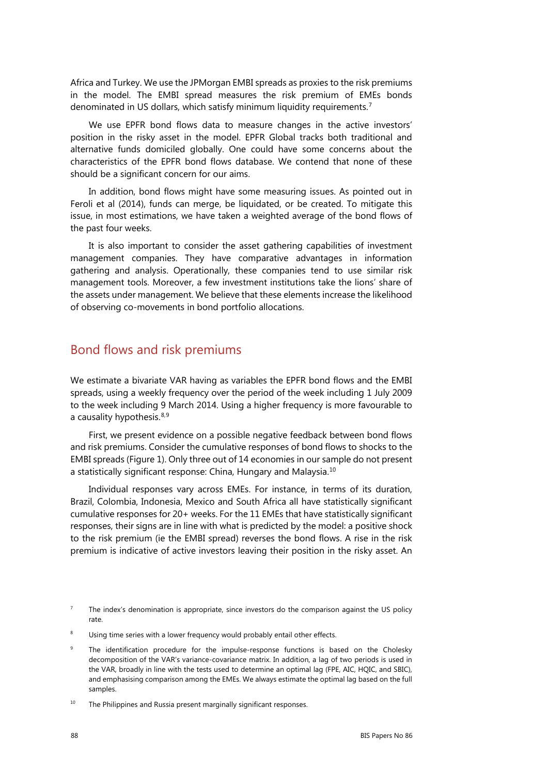Africa and Turkey. We use the JPMorgan EMBI spreads as proxies to the risk premiums in the model. The EMBI spread measures the risk premium of EMEs bonds denominated in US dollars, which satisfy minimum liquidity requirements.[7](#page-3-0)

We use EPFR bond flows data to measure changes in the active investors' position in the risky asset in the model. EPFR Global tracks both traditional and alternative funds domiciled globally. One could have some concerns about the characteristics of the EPFR bond flows database. We contend that none of these should be a significant concern for our aims.

In addition, bond flows might have some measuring issues. As pointed out in Feroli et al (2014), funds can merge, be liquidated, or be created. To mitigate this issue, in most estimations, we have taken a weighted average of the bond flows of the past four weeks.

It is also important to consider the asset gathering capabilities of investment management companies. They have comparative advantages in information gathering and analysis. Operationally, these companies tend to use similar risk management tools. Moreover, a few investment institutions take the lions' share of the assets under management. We believe that these elements increase the likelihood of observing co-movements in bond portfolio allocations.

## Bond flows and risk premiums

We estimate a bivariate VAR having as variables the EPFR bond flows and the EMBI spreads, using a weekly frequency over the period of the week including 1 July 2009 to the week including 9 March 2014. Using a higher frequency is more favourable to a causality hypothesis.<sup>[8,](#page-3-1)[9](#page-3-2)</sup>

First, we present evidence on a possible negative feedback between bond flows and risk premiums. Consider the cumulative responses of bond flows to shocks to the EMBI spreads (Figure 1). Only three out of 14 economies in our sample do not present a statistically significant response: China, Hungary and Malaysia.[10](#page-3-3)

Individual responses vary across EMEs. For instance, in terms of its duration, Brazil, Colombia, Indonesia, Mexico and South Africa all have statistically significant cumulative responses for 20+ weeks. For the 11 EMEs that have statistically significant responses, their signs are in line with what is predicted by the model: a positive shock to the risk premium (ie the EMBI spread) reverses the bond flows. A rise in the risk premium is indicative of active investors leaving their position in the risky asset. An

<span id="page-3-0"></span><sup>7</sup> The index's denomination is appropriate, since investors do the comparison against the US policy rate.

<span id="page-3-1"></span>Using time series with a lower frequency would probably entail other effects.

<span id="page-3-2"></span>The identification procedure for the impulse-response functions is based on the Cholesky decomposition of the VAR's variance-covariance matrix. In addition, a lag of two periods is used in the VAR, broadly in line with the tests used to determine an optimal lag (FPE, AIC, HQIC, and SBIC), and emphasising comparison among the EMEs. We always estimate the optimal lag based on the full samples.

<span id="page-3-3"></span> $10$  The Philippines and Russia present marginally significant responses.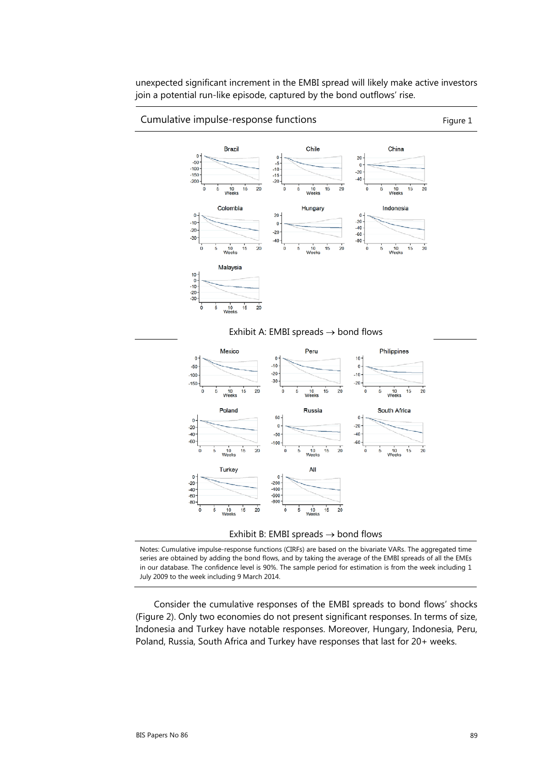unexpected significant increment in the EMBI spread will likely make active investors join a potential run-like episode, captured by the bond outflows' rise.

### Cumulative impulse-response functions example that the set of Figure 1



#### Exhibit A: EMBI spreads  $\rightarrow$  bond flows



#### Exhibit B: EMBI spreads  $\rightarrow$  bond flows

Notes: Cumulative impulse-response functions (CIRFs) are based on the bivariate VARs. The aggregated time series are obtained by adding the bond flows, and by taking the average of the EMBI spreads of all the EMEs in our database. The confidence level is 90%. The sample period for estimation is from the week including 1 July 2009 to the week including 9 March 2014.

Consider the cumulative responses of the EMBI spreads to bond flows' shocks (Figure 2). Only two economies do not present significant responses. In terms of size, Indonesia and Turkey have notable responses. Moreover, Hungary, Indonesia, Peru, Poland, Russia, South Africa and Turkey have responses that last for 20+ weeks.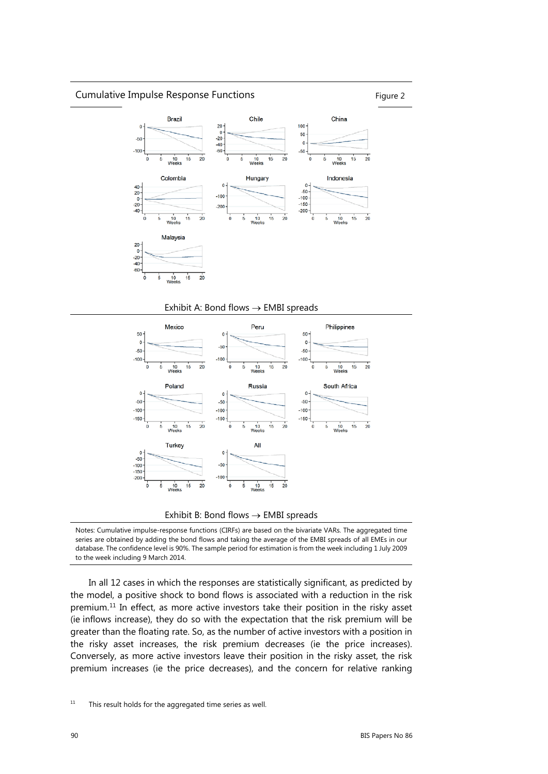### Cumulative Impulse Response Functions Figure 2



### Exhibit A: Bond flows  $\rightarrow$  EMBI spreads



#### Exhibit B: Bond flows  $\rightarrow$  EMBI spreads

Notes: Cumulative impulse-response functions (CIRFs) are based on the bivariate VARs. The aggregated time series are obtained by adding the bond flows and taking the average of the EMBI spreads of all EMEs in our database. The confidence level is 90%. The sample period for estimation is from the week including 1 July 2009 to the week including 9 March 2014.

In all 12 cases in which the responses are statistically significant, as predicted by the model, a positive shock to bond flows is associated with a reduction in the risk premium.<sup>[11](#page-5-0)</sup> In effect, as more active investors take their position in the risky asset (ie inflows increase), they do so with the expectation that the risk premium will be greater than the floating rate. So, as the number of active investors with a position in the risky asset increases, the risk premium decreases (ie the price increases). Conversely, as more active investors leave their position in the risky asset, the risk premium increases (ie the price decreases), and the concern for relative ranking

<span id="page-5-0"></span> $11$  This result holds for the aggregated time series as well.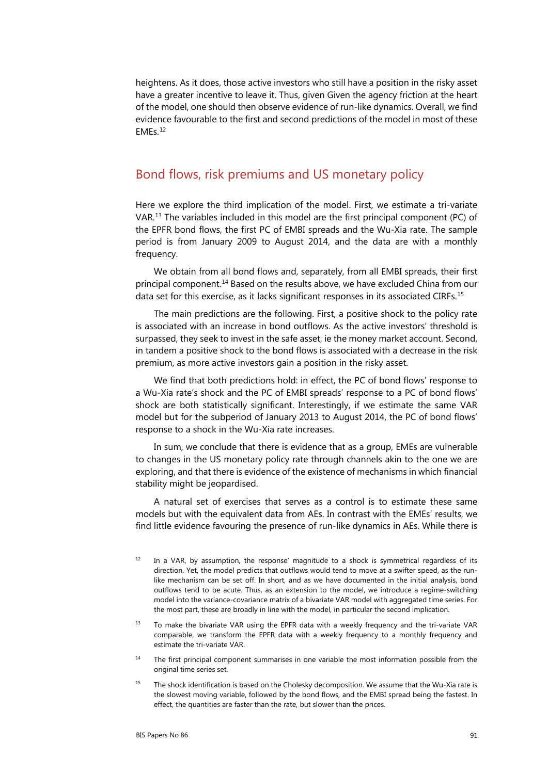heightens. As it does, those active investors who still have a position in the risky asset have a greater incentive to leave it. Thus, given Given the agency friction at the heart of the model, one should then observe evidence of run-like dynamics. Overall, we find evidence favourable to the first and second predictions of the model in most of these EMEs.[12](#page-6-0)

## Bond flows, risk premiums and US monetary policy

Here we explore the third implication of the model. First, we estimate a tri-variate VAR.[13](#page-6-1) The variables included in this model are the first principal component (PC) of the EPFR bond flows, the first PC of EMBI spreads and the Wu-Xia rate. The sample period is from January 2009 to August 2014, and the data are with a monthly frequency.

We obtain from all bond flows and, separately, from all EMBI spreads, their first principal component.[14](#page-6-2) Based on the results above, we have excluded China from our data set for this exercise, as it lacks significant responses in its associated CIRFs.<sup>[15](#page-6-3)</sup>

The main predictions are the following. First, a positive shock to the policy rate is associated with an increase in bond outflows. As the active investors' threshold is surpassed, they seek to invest in the safe asset, ie the money market account. Second, in tandem a positive shock to the bond flows is associated with a decrease in the risk premium, as more active investors gain a position in the risky asset.

We find that both predictions hold: in effect, the PC of bond flows' response to a Wu-Xia rate's shock and the PC of EMBI spreads' response to a PC of bond flows' shock are both statistically significant. Interestingly, if we estimate the same VAR model but for the subperiod of January 2013 to August 2014, the PC of bond flows' response to a shock in the Wu-Xia rate increases.

In sum, we conclude that there is evidence that as a group, EMEs are vulnerable to changes in the US monetary policy rate through channels akin to the one we are exploring, and that there is evidence of the existence of mechanisms in which financial stability might be jeopardised.

A natural set of exercises that serves as a control is to estimate these same models but with the equivalent data from AEs. In contrast with the EMEs' results, we find little evidence favouring the presence of run-like dynamics in AEs. While there is

- <span id="page-6-0"></span> $12$  In a VAR, by assumption, the response' magnitude to a shock is symmetrical regardless of its direction. Yet, the model predicts that outflows would tend to move at a swifter speed, as the runlike mechanism can be set off. In short, and as we have documented in the initial analysis, bond outflows tend to be acute. Thus, as an extension to the model, we introduce a regime-switching model into the variance-covariance matrix of a bivariate VAR model with aggregated time series. For the most part, these are broadly in line with the model, in particular the second implication.
- <span id="page-6-1"></span> $13$  To make the bivariate VAR using the EPFR data with a weekly frequency and the tri-variate VAR comparable, we transform the EPFR data with a weekly frequency to a monthly frequency and estimate the tri-variate VAR.
- <span id="page-6-2"></span>The first principal component summarises in one variable the most information possible from the original time series set.
- <span id="page-6-3"></span><sup>15</sup> The shock identification is based on the Cholesky decomposition. We assume that the Wu-Xia rate is the slowest moving variable, followed by the bond flows, and the EMBI spread being the fastest. In effect, the quantities are faster than the rate, but slower than the prices.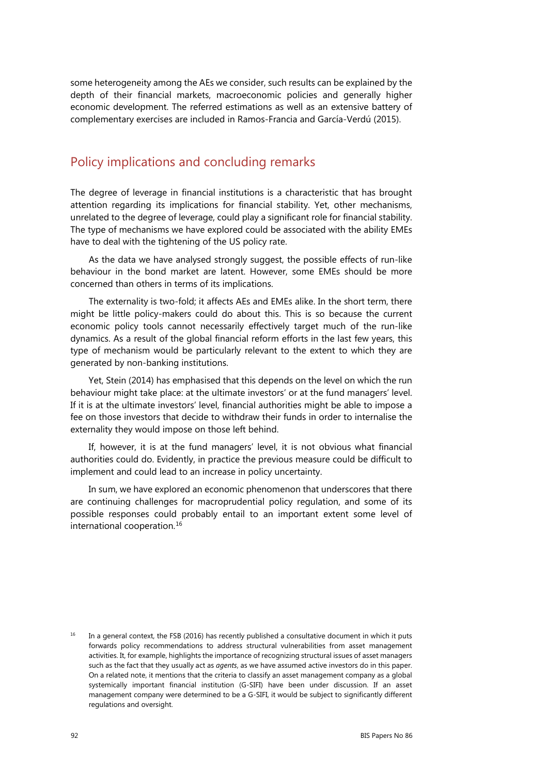some heterogeneity among the AEs we consider, such results can be explained by the depth of their financial markets, macroeconomic policies and generally higher economic development. The referred estimations as well as an extensive battery of complementary exercises are included in Ramos-Francia and García-Verdú (2015).

# Policy implications and concluding remarks

The degree of leverage in financial institutions is a characteristic that has brought attention regarding its implications for financial stability. Yet, other mechanisms, unrelated to the degree of leverage, could play a significant role for financial stability. The type of mechanisms we have explored could be associated with the ability EMEs have to deal with the tightening of the US policy rate.

As the data we have analysed strongly suggest, the possible effects of run-like behaviour in the bond market are latent. However, some EMEs should be more concerned than others in terms of its implications.

The externality is two-fold; it affects AEs and EMEs alike. In the short term, there might be little policy-makers could do about this. This is so because the current economic policy tools cannot necessarily effectively target much of the run-like dynamics. As a result of the global financial reform efforts in the last few years, this type of mechanism would be particularly relevant to the extent to which they are generated by non-banking institutions.

Yet, Stein (2014) has emphasised that this depends on the level on which the run behaviour might take place: at the ultimate investors' or at the fund managers' level. If it is at the ultimate investors' level, financial authorities might be able to impose a fee on those investors that decide to withdraw their funds in order to internalise the externality they would impose on those left behind.

If, however, it is at the fund managers' level, it is not obvious what financial authorities could do. Evidently, in practice the previous measure could be difficult to implement and could lead to an increase in policy uncertainty.

In sum, we have explored an economic phenomenon that underscores that there are continuing challenges for macroprudential policy regulation, and some of its possible responses could probably entail to an important extent some level of international cooperation.[16](#page-7-0)

<span id="page-7-0"></span> $16$  In a general context, the FSB (2016) has recently published a consultative document in which it puts forwards policy recommendations to address structural vulnerabilities from asset management activities. It, for example, highlights the importance of recognizing structural issues of asset managers such as the fact that they usually act as *agents*, as we have assumed active investors do in this paper. On a related note, it mentions that the criteria to classify an asset management company as a global systemically important financial institution (G-SIFI) have been under discussion. If an asset management company were determined to be a G-SIFI, it would be subject to significantly different regulations and oversight.